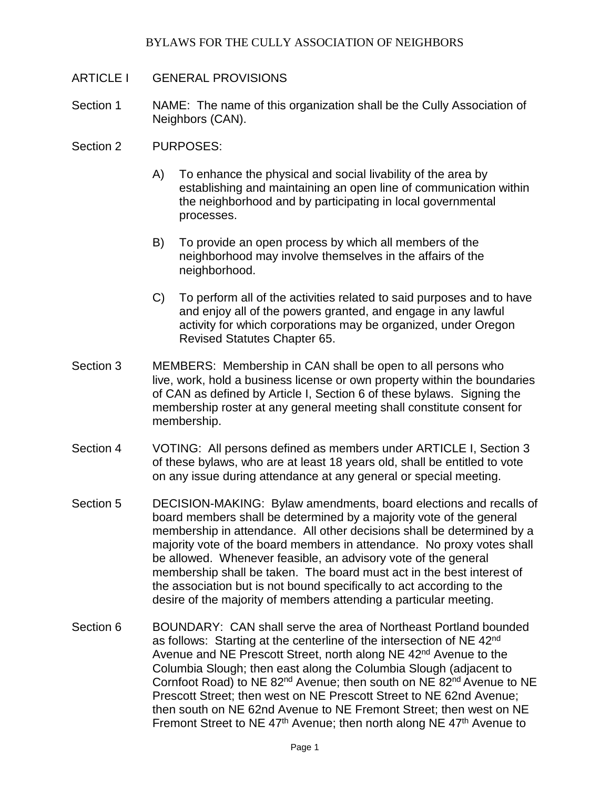- ARTICLE I GENERAL PROVISIONS
- Section 1 NAME: The name of this organization shall be the Cully Association of Neighbors (CAN).
- Section 2 PURPOSES:
	- A) To enhance the physical and social livability of the area by establishing and maintaining an open line of communication within the neighborhood and by participating in local governmental processes.
	- B) To provide an open process by which all members of the neighborhood may involve themselves in the affairs of the neighborhood.
	- C) To perform all of the activities related to said purposes and to have and enjoy all of the powers granted, and engage in any lawful activity for which corporations may be organized, under Oregon Revised Statutes Chapter 65.
- Section 3 MEMBERS: Membership in CAN shall be open to all persons who live, work, hold a business license or own property within the boundaries of CAN as defined by Article I, Section 6 of these bylaws. Signing the membership roster at any general meeting shall constitute consent for membership.
- Section 4 VOTING: All persons defined as members under ARTICLE I, Section 3 of these bylaws, who are at least 18 years old, shall be entitled to vote on any issue during attendance at any general or special meeting.
- Section 5 DECISION-MAKING: Bylaw amendments, board elections and recalls of board members shall be determined by a majority vote of the general membership in attendance. All other decisions shall be determined by a majority vote of the board members in attendance. No proxy votes shall be allowed. Whenever feasible, an advisory vote of the general membership shall be taken. The board must act in the best interest of the association but is not bound specifically to act according to the desire of the majority of members attending a particular meeting.
- Section 6 BOUNDARY: CAN shall serve the area of Northeast Portland bounded as follows: Starting at the centerline of the intersection of NE 42<sup>nd</sup> Avenue and NE Prescott Street, north along NE 42<sup>nd</sup> Avenue to the Columbia Slough; then east along the Columbia Slough (adjacent to Cornfoot Road) to NE 82<sup>nd</sup> Avenue; then south on NE 82<sup>nd</sup> Avenue to NE Prescott Street; then west on NE Prescott Street to NE 62nd Avenue; then south on NE 62nd Avenue to NE Fremont Street; then west on NE Fremont Street to NE  $47<sup>th</sup>$  Avenue; then north along NE  $47<sup>th</sup>$  Avenue to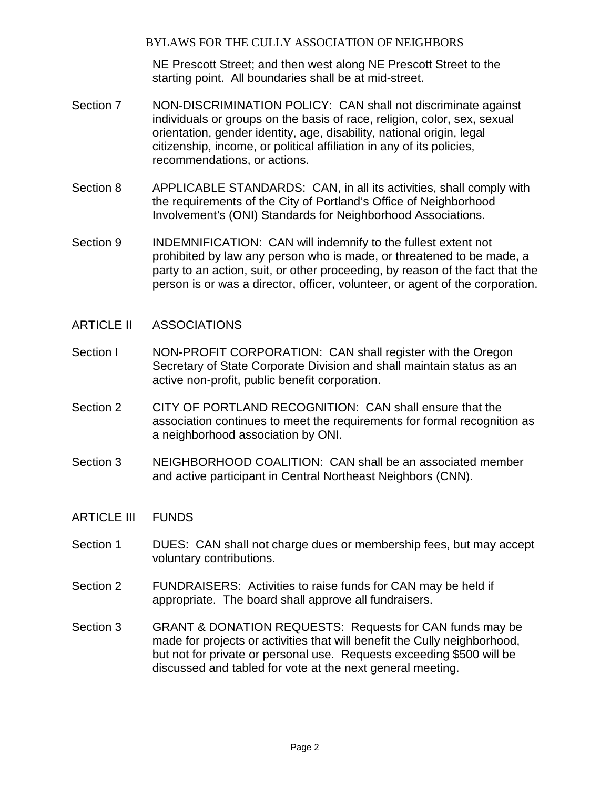NE Prescott Street; and then west along NE Prescott Street to the starting point. All boundaries shall be at mid-street.

- Section 7 NON-DISCRIMINATION POLICY: CAN shall not discriminate against individuals or groups on the basis of race, religion, color, sex, sexual orientation, gender identity, age, disability, national origin, legal citizenship, income, or political affiliation in any of its policies, recommendations, or actions.
- Section 8 APPLICABLE STANDARDS: CAN, in all its activities, shall comply with the requirements of the City of Portland's Office of Neighborhood Involvement's (ONI) Standards for Neighborhood Associations.
- Section 9 INDEMNIFICATION: CAN will indemnify to the fullest extent not prohibited by law any person who is made, or threatened to be made, a party to an action, suit, or other proceeding, by reason of the fact that the person is or was a director, officer, volunteer, or agent of the corporation.
- ARTICLE II ASSOCIATIONS
- Section I NON-PROFIT CORPORATION: CAN shall register with the Oregon Secretary of State Corporate Division and shall maintain status as an active non-profit, public benefit corporation.
- Section 2 CITY OF PORTLAND RECOGNITION: CAN shall ensure that the association continues to meet the requirements for formal recognition as a neighborhood association by ONI.
- Section 3 NEIGHBORHOOD COALITION: CAN shall be an associated member and active participant in Central Northeast Neighbors (CNN).
- ARTICLE III FUNDS
- Section 1 DUES: CAN shall not charge dues or membership fees, but may accept voluntary contributions.
- Section 2 FUNDRAISERS: Activities to raise funds for CAN may be held if appropriate. The board shall approve all fundraisers.
- Section 3 GRANT & DONATION REQUESTS: Requests for CAN funds may be made for projects or activities that will benefit the Cully neighborhood, but not for private or personal use. Requests exceeding \$500 will be discussed and tabled for vote at the next general meeting.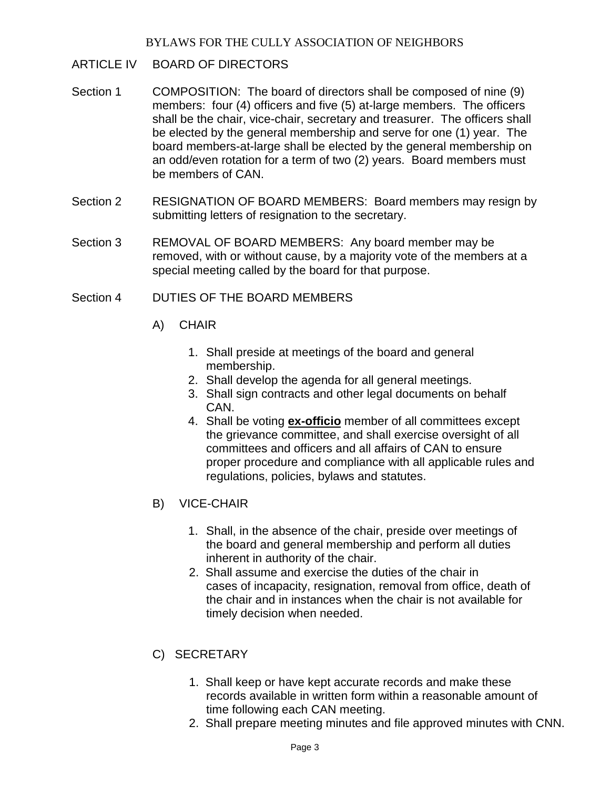- ARTICLE IV BOARD OF DIRECTORS
- Section 1 COMPOSITION: The board of directors shall be composed of nine (9) members: four (4) officers and five (5) at-large members. The officers shall be the chair, vice-chair, secretary and treasurer. The officers shall be elected by the general membership and serve for one (1) year. The board members-at-large shall be elected by the general membership on an odd/even rotation for a term of two (2) years. Board members must be members of CAN.
- Section 2 RESIGNATION OF BOARD MEMBERS: Board members may resign by submitting letters of resignation to the secretary.
- Section 3 REMOVAL OF BOARD MEMBERS: Any board member may be removed, with or without cause, by a majority vote of the members at a special meeting called by the board for that purpose.
- Section 4 DUTIFS OF THE BOARD MEMBERS
	- A) CHAIR
		- 1. Shall preside at meetings of the board and general membership.
		- 2. Shall develop the agenda for all general meetings.
		- 3. Shall sign contracts and other legal documents on behalf CAN.
		- 4. Shall be voting **ex-officio** member of all committees except the grievance committee, and shall exercise oversight of all committees and officers and all affairs of CAN to ensure proper procedure and compliance with all applicable rules and regulations, policies, bylaws and statutes.
	- B) VICE-CHAIR
		- 1. Shall, in the absence of the chair, preside over meetings of the board and general membership and perform all duties inherent in authority of the chair.
		- 2. Shall assume and exercise the duties of the chair in cases of incapacity, resignation, removal from office, death of the chair and in instances when the chair is not available for timely decision when needed.
	- C) SECRETARY
		- 1. Shall keep or have kept accurate records and make these records available in written form within a reasonable amount of time following each CAN meeting.
		- 2. Shall prepare meeting minutes and file approved minutes with CNN.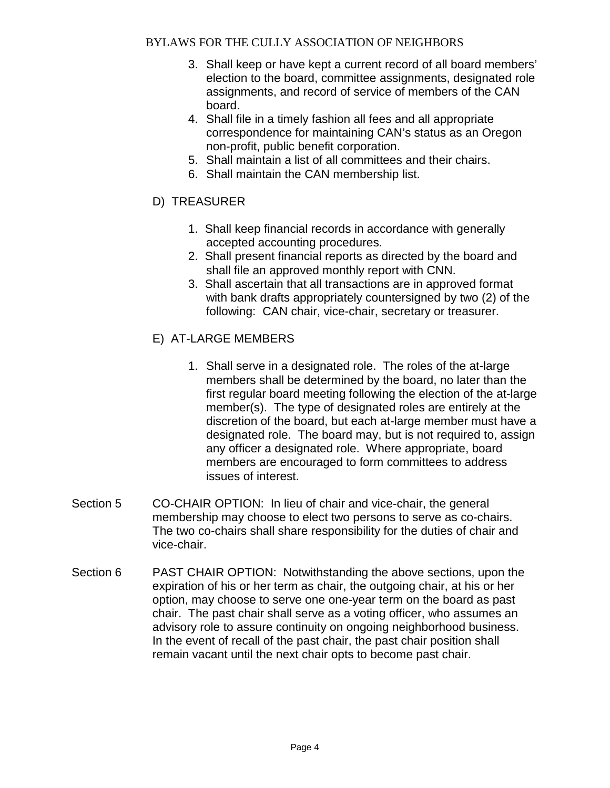- 3. Shall keep or have kept a current record of all board members' election to the board, committee assignments, designated role assignments, and record of service of members of the CAN board.
- 4. Shall file in a timely fashion all fees and all appropriate correspondence for maintaining CAN's status as an Oregon non-profit, public benefit corporation.
- 5. Shall maintain a list of all committees and their chairs.
- 6. Shall maintain the CAN membership list.
- D) TREASURER
	- 1. Shall keep financial records in accordance with generally accepted accounting procedures.
	- 2. Shall present financial reports as directed by the board and shall file an approved monthly report with CNN.
	- 3. Shall ascertain that all transactions are in approved format with bank drafts appropriately countersigned by two (2) of the following: CAN chair, vice-chair, secretary or treasurer.
- E) AT-LARGE MEMBERS
	- 1. Shall serve in a designated role. The roles of the at-large members shall be determined by the board, no later than the first regular board meeting following the election of the at-large member(s). The type of designated roles are entirely at the discretion of the board, but each at-large member must have a designated role. The board may, but is not required to, assign any officer a designated role. Where appropriate, board members are encouraged to form committees to address issues of interest.
- Section 5 CO-CHAIR OPTION: In lieu of chair and vice-chair, the general membership may choose to elect two persons to serve as co-chairs. The two co-chairs shall share responsibility for the duties of chair and vice-chair.
- Section 6 PAST CHAIR OPTION: Notwithstanding the above sections, upon the expiration of his or her term as chair, the outgoing chair, at his or her option, may choose to serve one one-year term on the board as past chair. The past chair shall serve as a voting officer, who assumes an advisory role to assure continuity on ongoing neighborhood business. In the event of recall of the past chair, the past chair position shall remain vacant until the next chair opts to become past chair.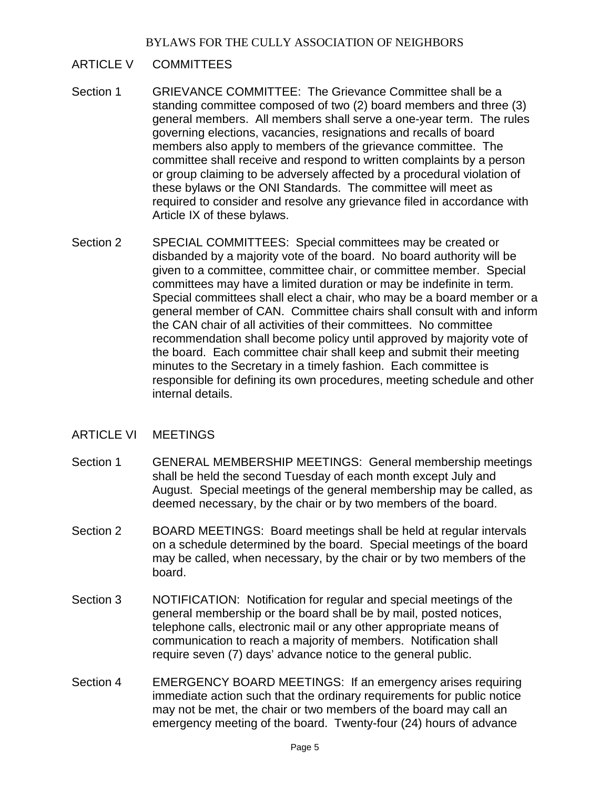## ARTICLE V COMMITTEES

- Section 1 GRIEVANCE COMMITTEE: The Grievance Committee shall be a standing committee composed of two (2) board members and three (3) general members. All members shall serve a one-year term. The rules governing elections, vacancies, resignations and recalls of board members also apply to members of the grievance committee. The committee shall receive and respond to written complaints by a person or group claiming to be adversely affected by a procedural violation of these bylaws or the ONI Standards. The committee will meet as required to consider and resolve any grievance filed in accordance with Article IX of these bylaws.
- Section 2 SPECIAL COMMITTEES: Special committees may be created or disbanded by a majority vote of the board. No board authority will be given to a committee, committee chair, or committee member. Special committees may have a limited duration or may be indefinite in term. Special committees shall elect a chair, who may be a board member or a general member of CAN. Committee chairs shall consult with and inform the CAN chair of all activities of their committees. No committee recommendation shall become policy until approved by majority vote of the board. Each committee chair shall keep and submit their meeting minutes to the Secretary in a timely fashion. Each committee is responsible for defining its own procedures, meeting schedule and other internal details.

## ARTICLE VI MEETINGS

- Section 1 GENERAL MEMBERSHIP MEETINGS: General membership meetings shall be held the second Tuesday of each month except July and August. Special meetings of the general membership may be called, as deemed necessary, by the chair or by two members of the board.
- Section 2 BOARD MEETINGS: Board meetings shall be held at regular intervals on a schedule determined by the board. Special meetings of the board may be called, when necessary, by the chair or by two members of the board.
- Section 3 NOTIFICATION: Notification for regular and special meetings of the general membership or the board shall be by mail, posted notices, telephone calls, electronic mail or any other appropriate means of communication to reach a majority of members. Notification shall require seven (7) days' advance notice to the general public.
- Section 4 EMERGENCY BOARD MEETINGS: If an emergency arises requiring immediate action such that the ordinary requirements for public notice may not be met, the chair or two members of the board may call an emergency meeting of the board. Twenty-four (24) hours of advance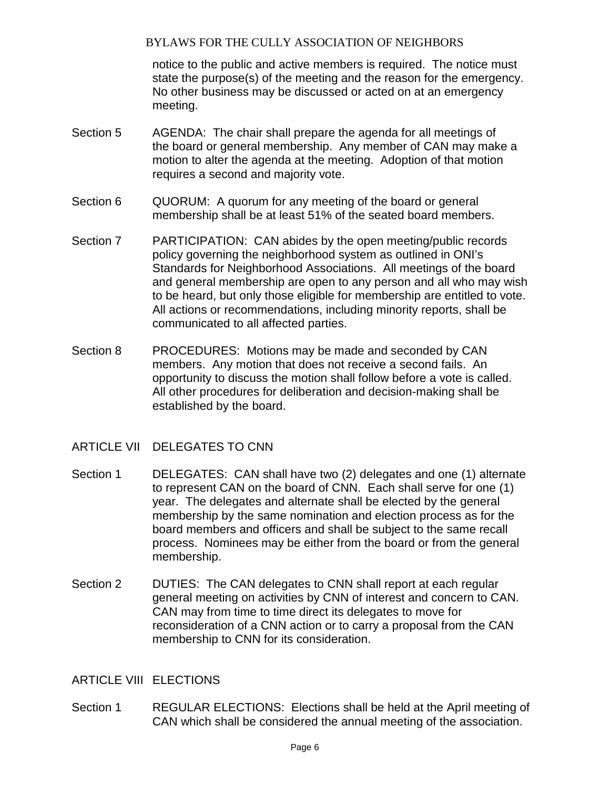notice to the public and active members is required. The notice must state the purpose(s) of the meeting and the reason for the emergency. No other business may be discussed or acted on at an emergency meeting.

- Section 5 AGENDA: The chair shall prepare the agenda for all meetings of the board or general membership. Any member of CAN may make a motion to alter the agenda at the meeting. Adoption of that motion requires a second and majority vote.
- Section 6 QUORUM: A quorum for any meeting of the board or general membership shall be at least 51% of the seated board members.
- Section 7 PARTICIPATION: CAN abides by the open meeting/public records policy governing the neighborhood system as outlined in ONI's Standards for Neighborhood Associations. All meetings of the board and general membership are open to any person and all who may wish to be heard, but only those eligible for membership are entitled to vote. All actions or recommendations, including minority reports, shall be communicated to all affected parties.
- Section 8 PROCEDURES: Motions may be made and seconded by CAN members. Any motion that does not receive a second fails. An opportunity to discuss the motion shall follow before a vote is called. All other procedures for deliberation and decision-making shall be established by the board.
- ARTICLE VII DELEGATES TO CNN
- Section 1 DELEGATES: CAN shall have two (2) delegates and one (1) alternate to represent CAN on the board of CNN. Each shall serve for one (1) year. The delegates and alternate shall be elected by the general membership by the same nomination and election process as for the board members and officers and shall be subject to the same recall process. Nominees may be either from the board or from the general membership.
- Section 2 DUTIES: The CAN delegates to CNN shall report at each regular general meeting on activities by CNN of interest and concern to CAN. CAN may from time to time direct its delegates to move for reconsideration of a CNN action or to carry a proposal from the CAN membership to CNN for its consideration.

## ARTICLE VIII ELECTIONS

Section 1 REGULAR ELECTIONS: Elections shall be held at the April meeting of CAN which shall be considered the annual meeting of the association.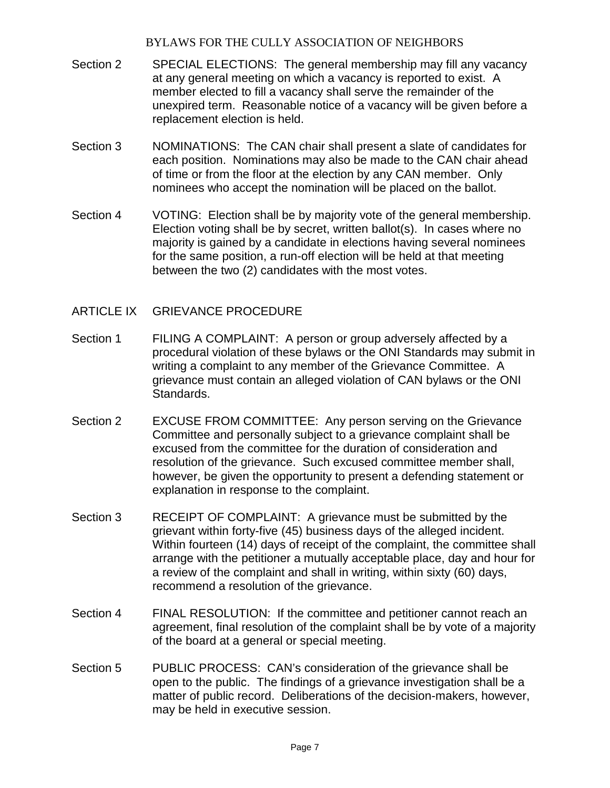- Section 2 SPECIAL ELECTIONS: The general membership may fill any vacancy at any general meeting on which a vacancy is reported to exist. A member elected to fill a vacancy shall serve the remainder of the unexpired term. Reasonable notice of a vacancy will be given before a replacement election is held.
- Section 3 NOMINATIONS: The CAN chair shall present a slate of candidates for each position. Nominations may also be made to the CAN chair ahead of time or from the floor at the election by any CAN member. Only nominees who accept the nomination will be placed on the ballot.
- Section 4 VOTING: Election shall be by majority vote of the general membership. Election voting shall be by secret, written ballot(s). In cases where no majority is gained by a candidate in elections having several nominees for the same position, a run-off election will be held at that meeting between the two (2) candidates with the most votes.
- ARTICLE IX GRIEVANCE PROCEDURE
- Section 1 FILING A COMPLAINT: A person or group adversely affected by a procedural violation of these bylaws or the ONI Standards may submit in writing a complaint to any member of the Grievance Committee. A grievance must contain an alleged violation of CAN bylaws or the ONI Standards.
- Section 2 EXCUSE FROM COMMITTEE: Any person serving on the Grievance Committee and personally subject to a grievance complaint shall be excused from the committee for the duration of consideration and resolution of the grievance. Such excused committee member shall, however, be given the opportunity to present a defending statement or explanation in response to the complaint.
- Section 3 RECEIPT OF COMPLAINT: A grievance must be submitted by the grievant within forty-five (45) business days of the alleged incident. Within fourteen (14) days of receipt of the complaint, the committee shall arrange with the petitioner a mutually acceptable place, day and hour for a review of the complaint and shall in writing, within sixty (60) days, recommend a resolution of the grievance.
- Section 4 FINAL RESOLUTION: If the committee and petitioner cannot reach an agreement, final resolution of the complaint shall be by vote of a majority of the board at a general or special meeting.
- Section 5 PUBLIC PROCESS: CAN's consideration of the grievance shall be open to the public. The findings of a grievance investigation shall be a matter of public record. Deliberations of the decision-makers, however, may be held in executive session.